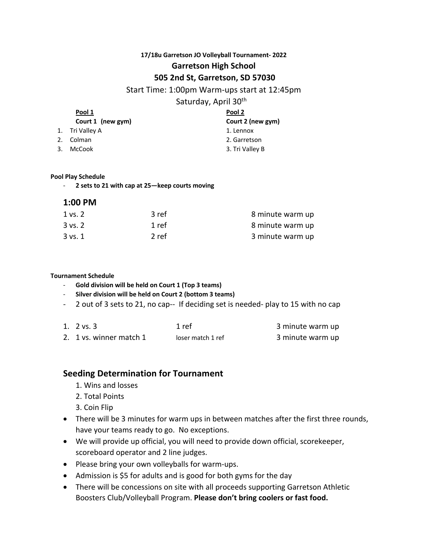## **17/18u Garretson JO Volleyball Tournament- 2022 Garretson High School**

## **505 2nd St, Garretson, SD 57030**

## Start Time: 1:00pm Warm-ups start at 12:45pm

# Saturday, April 30th

| Pool 1            | Pool 2<br>Court 2 (new gym)               |  |
|-------------------|-------------------------------------------|--|
| Court 1 (new gym) |                                           |  |
|                   | 1. Lennox                                 |  |
|                   | 2. Garretson                              |  |
|                   | 3. Tri Valley B                           |  |
|                   | 1. Tri Valley A<br>2. Colman<br>3. McCook |  |

#### **Pool Play Schedule**

- **2 sets to 21 with cap at 25—keep courts moving**

## **1:00 PM**

| 1 vs. 2     | 3 ref | 8 minute warm up |
|-------------|-------|------------------|
| $3$ vs. $2$ | 1 ref | 8 minute warm up |
| $3$ vs. $1$ | 2 ref | 3 minute warm up |

#### **Tournament Schedule**

- **Gold division will be held on Court 1 (Top 3 teams)**
- **Silver division will be held on Court 2 (bottom 3 teams)**
- 2 out of 3 sets to 21, no cap-- If deciding set is needed- play to 15 with no cap

| 1. $2 \text{ vs. } 3$   | 1 ref             | 3 minute warm up |
|-------------------------|-------------------|------------------|
| 2. 1 vs. winner match 1 | loser match 1 ref | 3 minute warm up |

# **Seeding Determination for Tournament**

- 1. Wins and losses
- 2. Total Points
- 3. Coin Flip
- There will be 3 minutes for warm ups in between matches after the first three rounds, have your teams ready to go. No exceptions.
- We will provide up official, you will need to provide down official, scorekeeper, scoreboard operator and 2 line judges.
- Please bring your own volleyballs for warm-ups.
- Admission is \$5 for adults and is good for both gyms for the day
- There will be concessions on site with all proceeds supporting Garretson Athletic Boosters Club/Volleyball Program. **Please don't bring coolers or fast food.**